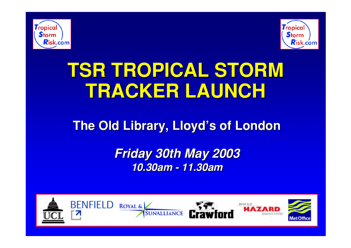



# **TSR TROPICAL STORM TSR TROPICAL STORM TRACKER LAUNCH TRACKER LAUNCH**

### **The Old Library, Lloyd's of London**

*Friday 30th May 2003 Friday 30th May 2003 10.30am - 11.30am 10.30am - 11.30am*

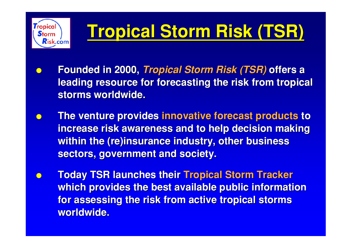

# **Tropical Storm Risk (TSR) Tropical Storm Risk (TSR)**

- **Founded in 2000,** *Tropical Storm Risk (TSR)* **offers a leading resource for forecasting the risk from tropical storms worldwide. storms worldwide.**
- **The venture provides innovative forecast products to increase risk awareness and to help decision making increase risk awareness and to help decision making within the (re)insurance industry, other business sectors, government and society. sectors, government and society.**
- **Today TSR launches their Tropical Storm Tracker which provides the best available public information which provides the best available public information for assessing the risk from active tropical storms for assessing the risk from active tropical storms worldwide. worldwide.**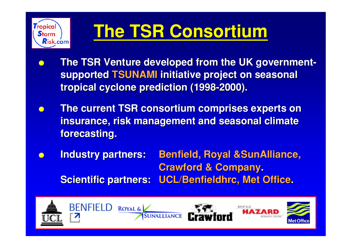

# **The TSR Consortium The TSR Consortium**

- **The TSR Venture developed from the UK governmentsupported TSUNAMI initiative project on seasonal tropical cyclone prediction (1998-2000). tropical cyclone prediction (1998-2000).**
- **The current TSR consortium comprises experts on The current TSR consortium comprises experts on insurance, risk management and seasonal climate insurance, risk management and seasonal climate forecasting. forecasting.**
- **Industry partners: Benfield, Royal & SunAlliance, Crawford & Company. Scientific partners: UCL/Benfieldhrc, Met Office.**

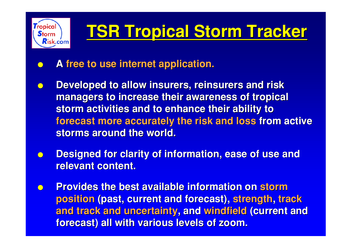

# **TSR Tropical Storm Tracker**

- **A free to use internet application. free to use internet application.**
- **Developed to allow insurers, reinsurers and risk managers to increase their awareness of tropical managers to increase their awareness of tropical storm activities and to enhance their ability to storm activities and to enhance their ability to forecast more accurately the risk and loss forecast more accurately the risk and loss from active from active storms around the world.**
- **Designed for clarity of information, ease of use and relevant content.**
- **Provides the best available information on storm position (past, current and forecast), strength, track and track and uncertainty, and windfield (current and forecast) all with various levels of zoom. forecast) all with various levels of zoom.**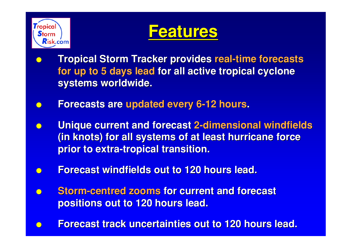



- **Tropical Storm Tracker provides real-time forecasts for up to 5 days lead for all active tropical cyclone systems worldwide. systems worldwide.**
- **Forecasts are updated every 6-12 hours.**
- **Unique current and forecast 2-dimensional windfields (in knots) for all systems of at least hurricane force (in knots) for all systems of at least hurricane force prior to extra-tropical transition. prior to extra-tropical transition.**
- **Forecast windfields out to 120 hours lead.**
- **Storm-centred zooms for current and forecast positions out to 120 hours lead. positions out to 120 hours lead.**
- **Forecast track uncertainties out to 120 hours lead. Forecast track uncertainties out to 120 hours lead.**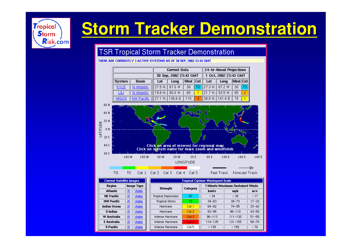

### **Storm Tracker Demonstration Storm Tracker Demonstration**

#### **TSR Tropical Storm Tracker Demonstration**

#### THERE ARE CURRENTLY 3 ACTIVE SYSTEMS AS OF 30 SEP, 2002 23:43 GMT



| Image Type<br><b>Region</b> |     | Strength      |                      |          |            | Minute Maximum Sustained Winds<br>m/s<br>mph<br>< 39<br>$17 - 32$<br>$39 - 73$<br>$33 - 42$<br>74-95<br>$96 - 110$<br>$43 - 50$ |       |  |
|-----------------------------|-----|---------------|----------------------|----------|------------|---------------------------------------------------------------------------------------------------------------------------------|-------|--|
| <b>Atlantic</b>             | -IR | Msible        |                      | Category | knots      |                                                                                                                                 |       |  |
| <b>NE Pacific</b>           | -IR | <b>Msible</b> | Tropical Depression. | TD       | < 34       |                                                                                                                                 |       |  |
| <b>NW Pacific</b>           | IR. | <b>Msible</b> | Tropical Storm.      | TS       | $34 - 63$  |                                                                                                                                 |       |  |
| Indian Ocean                | -IR | Msible        | Hurricane            | Cat 1    | 64-82      |                                                                                                                                 |       |  |
| <b>S</b> Indian             | -IR | Msible        | Hurricane            | Cat 2    | 83-95      |                                                                                                                                 |       |  |
| W Australia                 | -IR | Msible        | Intense Hurricane    | Cat 3    | $96 - 113$ | $111 - 130$                                                                                                                     | 51-58 |  |
| F Australia                 | -IR | Msible        | Intense Hurricane    | Cat 4    | 114-135    | 131-155                                                                                                                         | 59-70 |  |
| <b>S</b> Pacific            | IR. | Msible        | Intense Hurricane    | Cat 5.   | -135       | >155                                                                                                                            | > 70  |  |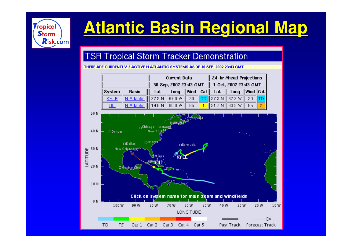

## **Atlantic Basin Regional Map Atlantic Basin Regional Map**

#### **TSR Tropical Storm Tracker Demonstration**

THERE ARE CURRENTLY 2 ACTIVE N ATLANTIC SYSTEMS AS OF 30 SEP, 2002 23:43 GMT

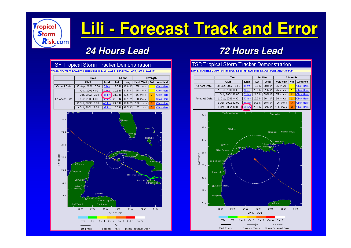

### **Lili - Forecast Track and Error - Forecast Track and Error**

#### *24 Hours Lead 24 Hours Lead 72 Hours Lead 72 Hours Lead*





Forecast Track

Mean Forecast Error

Past Track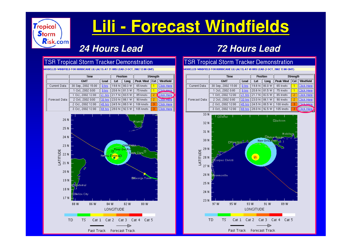

### **Lili - Forecast Windfields**

### *24 Hours Lead 24 Hours Lead 72 Hours Lead 72 Hours Lead*

#### **TSR Tropical Storm Tracker Demonstration**

MODELLED WINDFIELD FOR HURRICANE LILI (AL13) AT 21 HRS LEAD (1 OCT, 2002 12:00 GMT)

|               | Time               |               | <b>Position</b>      |                 | Strength                |   |                    |
|---------------|--------------------|---------------|----------------------|-----------------|-------------------------|---|--------------------|
|               | <b>GMT</b>         | Lead          | Lat                  | Long            | Peak Wind $\ $ Cat $\ $ |   | Windfield          |
| Current Data  | 30 Sep, 2002 15:00 | $0$ hrs       | 19.8 N               | 80.0 W          | 65 knots                |   | Click Here         |
| Forecast Data | 1 Oct. 2002 0:00   | 9 hrs         |                      | 20.6 N   81.5 W | 75 knots                |   | Click Here         |
|               | 1 Oct, 2002 12:00  |               | 21 hrs 21.7 N 33.5 W |                 | 85 knots                |   | <b>Click Here</b>  |
|               | 2 Oct, 2002 0:00   | 33 hrs        | 23.0 N    86.1 W     |                 | 90 knots                |   | <b>Citaty Here</b> |
|               | 2 Oct, 2002 12:00  |               | 45 hrs 24.5 N 88.5 W |                 | 100 knots               |   | <b>Click Here</b>  |
|               | 3 Oct. 2002 12:00  | <b>69 hrs</b> | 28.0 N    92.5 W     |                 | 105 knots               | я | <b>Click Here</b>  |



#### **TSR Tropical Storm Tracker Demonstration**

MODELLED WINDFIELD FOR HURRICANE LILI (AL13) AT 69 HRS LEAD (3 OCT, 2002 12:00 GMT)

|               | Time               |         | <b>Position</b>                              |      | Strength  |     |                   |
|---------------|--------------------|---------|----------------------------------------------|------|-----------|-----|-------------------|
|               | <b>GMT</b>         | Lead    | Lat                                          | Long | Peak Wind | Cat | Windfield         |
| Current Data  | 30 Sep, 2002 15:00 | $0$ hrs | 19.8 N    80.0 W                             |      | 65 knots  |     | <b>Click Here</b> |
| Forecast Data | 1 Oct, 2002 0:00   | 9 hrs   | 20.6 N    81.5 W                             |      | 75 knots  |     | <b>Click Here</b> |
|               | 1 Oct. 2002 12:00  |         | 21 hrs 21.7 N 33.5 W                         |      | 85 knots  |     | Click Here        |
|               | 2 Oct, 2002 0:00   |         | 33 hrs 23.0 N   86.1 W                       |      | 90 knots  |     | <b>Click Here</b> |
|               | 2 Oct. 2002 12:00  |         | $ 45 \text{ hrs} $ 24.5 N $ 88.5 \text{ W} $ |      | 100 knots | Æ   | Click Here        |
|               | 3 Oct. 2002 12:00  |         | 69 hrs 28.0 N 32.5 W                         |      | 105 knots |     | Click Here        |

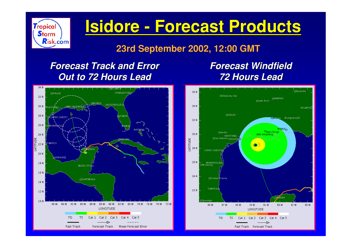

### **Isidore Isidore - Forecast Products - Forecast Products**

#### **23rd September 2002, 12:00 GMT 23rd September 2002, 12:00 GMT**

### *Forecast Track and Error Forecast Track and Error Out to 72 Hours Lead Out to 72 Hours Lead*

### *Forecast Forecast Windfield Windfield 72 Hours Lead 72 Hours Lead*



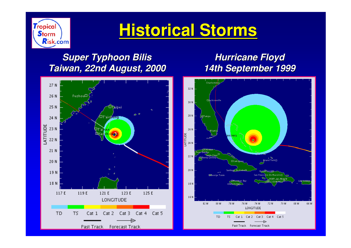

### **Historical Storms Historical Storms**

### *Super Typhoon Super Typhoon Bilis Taiwan, 22nd August, 2000 Taiwan, 22nd August, 2000*



### *Hurricane Floyd Hurricane Floyd 14th September 1999 14th September 1999*

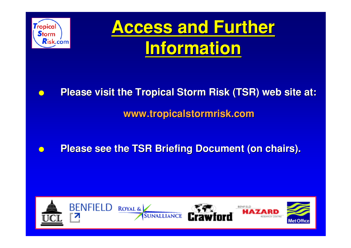

● **Please visit the Tropical Storm Risk (TSR) web site at: Please visit the Tropical Storm Risk (TSR) web site at:**

**www.tropicalstormrisk tropicalstormrisk.com**

**• Please see the TSR Briefing Document (on chairs).** 

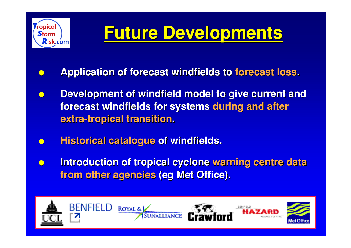

## **Future Developments Future Developments**

- **Application of forecast windfields to forecast loss.**
- **Development of windfield model to give current and forecast windfields for systems during and after extra-tropical transition.**
- **Historical catalogue of windfields.**
- **Introduction of tropical cyclone warning centre data from other agencies (eg Met Office).**

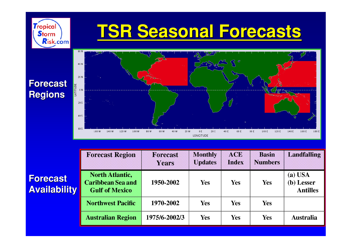

|                                        | <b>Forecast Region</b>                                                      | <b>Forecast</b><br><b>Years</b> | <b>Monthly</b><br><b>Updates</b> | <b>ACE</b><br><b>Index</b> | <b>Basin</b><br><b>Numbers</b> | <b>Landfalling</b>                         |
|----------------------------------------|-----------------------------------------------------------------------------|---------------------------------|----------------------------------|----------------------------|--------------------------------|--------------------------------------------|
| <b>Forecast</b><br><b>Availability</b> | <b>North Atlantic,</b><br><b>Caribbean Sea and</b><br><b>Gulf of Mexico</b> | 1950-2002                       | <b>Yes</b>                       | Yes                        | <b>Yes</b>                     | $(a)$ USA<br>(b) Lesser<br><b>Antilles</b> |
|                                        | <b>Northwest Pacific</b>                                                    | 1970-2002                       | <b>Yes</b>                       | <b>Yes</b>                 | <b>Yes</b>                     |                                            |
|                                        | <b>Australian Region</b>                                                    | 1975/6-2002/3                   | Yes                              | Yes                        | Yes                            | <b>Australia</b>                           |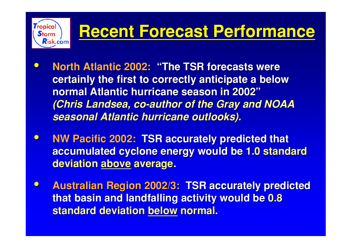## **Recent Forecast Performance Recent Forecast Performance**

 $\bullet$ **• North Atlantic 2002: "The TSR forecasts were certainly the first to correctly anticipate a below certainly the first to correctly anticipate a below normal Atlantic hurricane season in 2002 normal Atlantic hurricane season in 2002 "***(Chris Landsea, co-author of the Gray and NOAA seasonal Atlantic hurricane outlooks). seasonal Atlantic hurricane outlooks).*

Tropica

 $\mathsf{Risk}$ .com

- $\bullet$ **NW Pacific 2002: TSR accurately predicted that accumulated cyclone energy would be 1.0 standard deviation above average.**
- $\bullet$ **Australian Region 2002/3: TSR accurately predicted that basin and landfalling activity would be 0.8 standard deviation below normal.**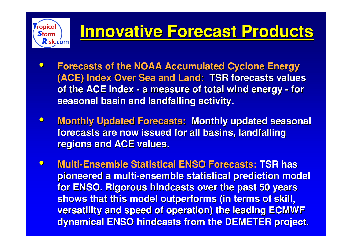## **Innovative Forecast Products Innovative Forecast Products**

 $\bullet$  **Forecasts of the NOAA Accumulated Cyclone Energy Forecasts of the NOAA Accumulated Cyclone Energy (ACE) Index Over Sea and Land: TSR forecasts values of the ACE Index - a measure of total wind energy - for of the ACE Index - a measure of total wind energy - for seasonal basin and landfalling activity.** 

Tropica

**Risk.com** 

- $\bullet$ **Monthly Updated Forecasts: Monthly updated seasonal forecasts are now issued for all basins, forecasts are now issued for all basins, landfalling landfalling regions and ACE values. regions and ACE values.**
- $\bullet$ **Multi-Ensemble Statistical ENSO Forecasts: TSR has pioneered a multi-ensemble statistical prediction model pioneered a multi-ensemble statistical prediction model for ENSO. Rigorous hindcasts over the past 50 years shows that this model outperforms (in terms of skill, shows that this model outperforms (in terms of skill, versatility and speed of operation) the leading ECMWF versatility and speed of operation) the leading ECMWF dynamical ENSO hindcasts from the DEMETER project.**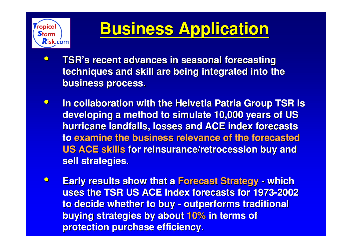

### **Business Application Business Application**

- $\bullet$  **TSR's recent advances in seasonal forecasting recent advances in seasonal forecasting techniques and skill are being integrated into the business process. business process.**
- $\bullet$  **In collaboration with the Helvetia Patria Group TSR is In collaboration with the Helvetia Patria Group TSR is developing a method to simulate 10,000 years of US hurricane landfalls, losses and ACE index forecasts hurricane landfalls, losses and ACE index forecasts to examine the business relevance of the forecasted examine the business relevance of the forecasted US ACE skills for reinsurance/retrocession buy and sell strategies. sell strategies.**
- $\bullet$ **Early results show that a Forecast Strategy - which uses the TSR US ACE Index forecasts for 1973-2002 uses the TSR US ACE Index forecasts for 1973-2002 to decide whether to buy - outperforms traditional to decide whether to buy - outperforms traditional buying strategies by about 10% in terms of protection purchase efficiency. protection purchase efficiency.**